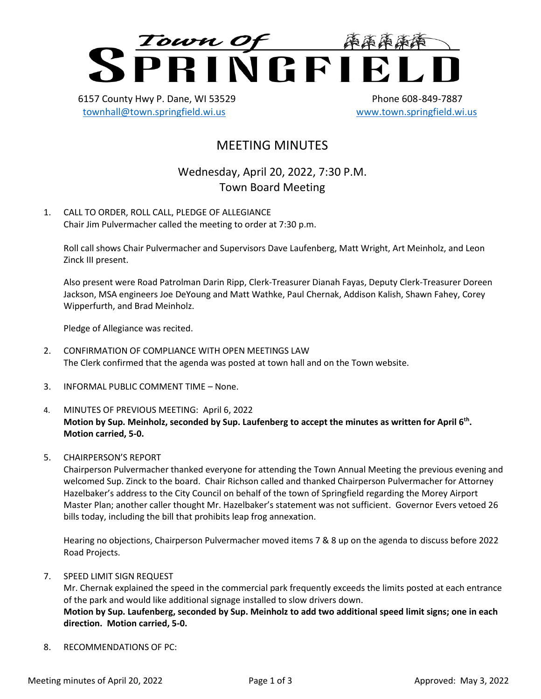

6157 County Hwy P. Dane, WI 53529 Phone 608-849-7887 [townhall@town.springfield.wi.us](mailto:townhall@town.springfield.wi.us) [www.town.springfield.wi.us](http://www.town.springfield.wi.us/)

## MEETING MINUTES

Wednesday, April 20, 2022, 7:30 P.M. Town Board Meeting

1. CALL TO ORDER, ROLL CALL, PLEDGE OF ALLEGIANCE Chair Jim Pulvermacher called the meeting to order at 7:30 p.m.

Roll call shows Chair Pulvermacher and Supervisors Dave Laufenberg, Matt Wright, Art Meinholz, and Leon Zinck III present.

Also present were Road Patrolman Darin Ripp, Clerk-Treasurer Dianah Fayas, Deputy Clerk-Treasurer Doreen Jackson, MSA engineers Joe DeYoung and Matt Wathke, Paul Chernak, Addison Kalish, Shawn Fahey, Corey Wipperfurth, and Brad Meinholz.

Pledge of Allegiance was recited.

- 2. CONFIRMATION OF COMPLIANCE WITH OPEN MEETINGS LAW The Clerk confirmed that the agenda was posted at town hall and on the Town website.
- 3. INFORMAL PUBLIC COMMENT TIME None.
- 4. MINUTES OF PREVIOUS MEETING: April 6, 2022 **Motion by Sup. Meinholz, seconded by Sup. Laufenberg to accept the minutes as written for April 6th . Motion carried, 5-0.**
- 5. CHAIRPERSON'S REPORT

Chairperson Pulvermacher thanked everyone for attending the Town Annual Meeting the previous evening and welcomed Sup. Zinck to the board. Chair Richson called and thanked Chairperson Pulvermacher for Attorney Hazelbaker's address to the City Council on behalf of the town of Springfield regarding the Morey Airport Master Plan; another caller thought Mr. Hazelbaker's statement was not sufficient. Governor Evers vetoed 26 bills today, including the bill that prohibits leap frog annexation.

Hearing no objections, Chairperson Pulvermacher moved items 7 & 8 up on the agenda to discuss before 2022 Road Projects.

7. SPEED LIMIT SIGN REQUEST

Mr. Chernak explained the speed in the commercial park frequently exceeds the limits posted at each entrance of the park and would like additional signage installed to slow drivers down. **Motion by Sup. Laufenberg, seconded by Sup. Meinholz to add two additional speed limit signs; one in each direction. Motion carried, 5-0.**

8. RECOMMENDATIONS OF PC: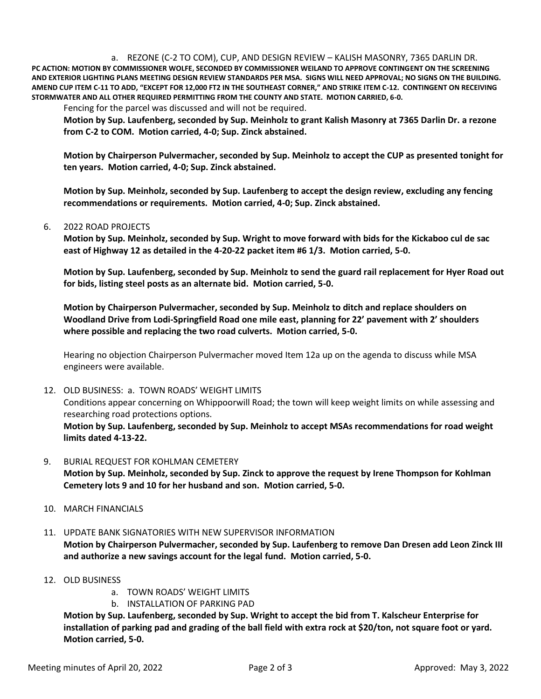a. REZONE (C-2 TO COM), CUP, AND DESIGN REVIEW – KALISH MASONRY, 7365 DARLIN DR. **PC ACTION: MOTION BY COMMISSIONER WOLFE, SECONDED BY COMMISSIONER WEILAND TO APPROVE CONTINGENT ON THE SCREENING AND EXTERIOR LIGHTING PLANS MEETING DESIGN REVIEW STANDARDS PER MSA. SIGNS WILL NEED APPROVAL; NO SIGNS ON THE BUILDING. AMEND CUP ITEM C-11 TO ADD, "EXCEPT FOR 12,000 FT2 IN THE SOUTHEAST CORNER," AND STRIKE ITEM C-12. CONTINGENT ON RECEIVING STORMWATER AND ALL OTHER REQUIRED PERMITTING FROM THE COUNTY AND STATE. MOTION CARRIED, 6-0.**

Fencing for the parcel was discussed and will not be required.

**Motion by Sup. Laufenberg, seconded by Sup. Meinholz to grant Kalish Masonry at 7365 Darlin Dr. a rezone from C-2 to COM. Motion carried, 4-0; Sup. Zinck abstained.**

**Motion by Chairperson Pulvermacher, seconded by Sup. Meinholz to accept the CUP as presented tonight for ten years. Motion carried, 4-0; Sup. Zinck abstained.**

**Motion by Sup. Meinholz, seconded by Sup. Laufenberg to accept the design review, excluding any fencing recommendations or requirements. Motion carried, 4-0; Sup. Zinck abstained.**

## 6. 2022 ROAD PROJECTS

**Motion by Sup. Meinholz, seconded by Sup. Wright to move forward with bids for the Kickaboo cul de sac east of Highway 12 as detailed in the 4-20-22 packet item #6 1/3. Motion carried, 5-0.**

**Motion by Sup. Laufenberg, seconded by Sup. Meinholz to send the guard rail replacement for Hyer Road out for bids, listing steel posts as an alternate bid. Motion carried, 5-0.**

**Motion by Chairperson Pulvermacher, seconded by Sup. Meinholz to ditch and replace shoulders on Woodland Drive from Lodi-Springfield Road one mile east, planning for 22' pavement with 2' shoulders where possible and replacing the two road culverts. Motion carried, 5-0.**

Hearing no objection Chairperson Pulvermacher moved Item 12a up on the agenda to discuss while MSA engineers were available.

## 12. OLD BUSINESS: a. TOWN ROADS' WEIGHT LIMITS

Conditions appear concerning on Whippoorwill Road; the town will keep weight limits on while assessing and researching road protections options.

**Motion by Sup. Laufenberg, seconded by Sup. Meinholz to accept MSAs recommendations for road weight limits dated 4-13-22.**

- 9. BURIAL REQUEST FOR KOHLMAN CEMETERY **Motion by Sup. Meinholz, seconded by Sup. Zinck to approve the request by Irene Thompson for Kohlman Cemetery lots 9 and 10 for her husband and son. Motion carried, 5-0.**
- 10. MARCH FINANCIALS
- 11. UPDATE BANK SIGNATORIES WITH NEW SUPERVISOR INFORMATION **Motion by Chairperson Pulvermacher, seconded by Sup. Laufenberg to remove Dan Dresen add Leon Zinck III and authorize a new savings account for the legal fund. Motion carried, 5-0.**
- 12. OLD BUSINESS
	- a. TOWN ROADS' WEIGHT LIMITS
	- b. INSTALLATION OF PARKING PAD

**Motion by Sup. Laufenberg, seconded by Sup. Wright to accept the bid from T. Kalscheur Enterprise for installation of parking pad and grading of the ball field with extra rock at \$20/ton, not square foot or yard. Motion carried, 5-0.**